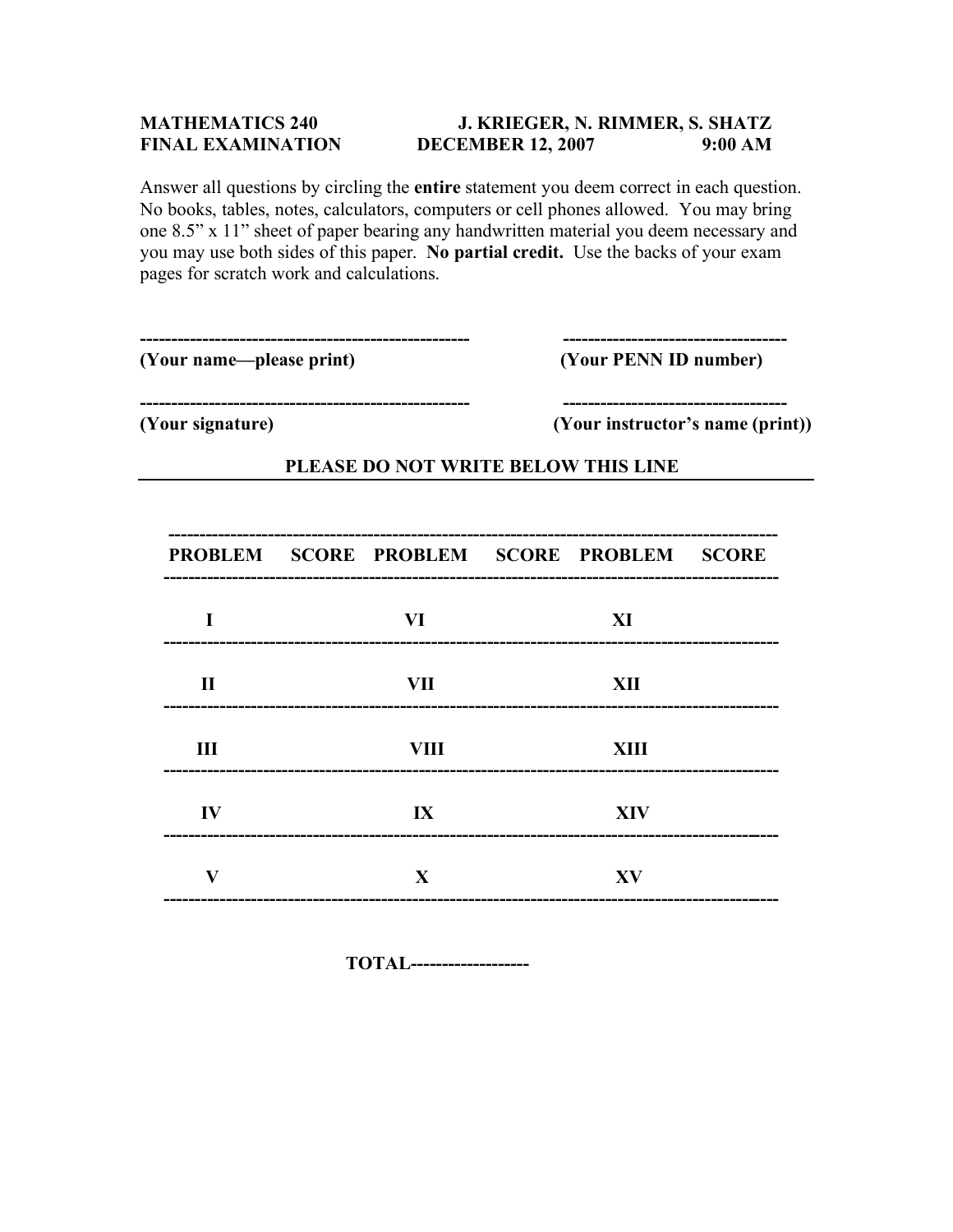## **MATHEMATICS 240 J. KRIEGER, N. RIMMER, S. SHATZ FINAL EXAMINATION DECEMBER 12, 2007 9:00 AM**

Answer all questions by circling the **entire** statement you deem correct in each question. No books, tables, notes, calculators, computers or cell phones allowed. You may bring one 8.5" x 11" sheet of paper bearing any handwritten material you deem necessary and you may use both sides of this paper. **No partial credit.** Use the backs of your exam pages for scratch work and calculations.

| (Your name—please print)<br>(Your signature) |  |                                           | (Your PENN ID number)<br>______________________<br>(Your instructor's name (print)) |    |              |
|----------------------------------------------|--|-------------------------------------------|-------------------------------------------------------------------------------------|----|--------------|
|                                              |  |                                           |                                                                                     |    |              |
|                                              |  | PROBLEM SCORE PROBLEM SCORE PROBLEM SCORE |                                                                                     |    | ------------ |
|                                              |  | VI                                        |                                                                                     | XI |              |

| $\mathbf{I}$            | VII                               | XII<br>----------        |  |
|-------------------------|-----------------------------------|--------------------------|--|
| $\mathbf{I}$            | VIII                              | <b>XIII</b>              |  |
| $\mathbf{I} \mathbf{V}$ | $\mathbf{I} \mathbf{X}$           | <b>XIV</b><br>__________ |  |
| V<br>-----------        | X<br>---------------------------- | XV                       |  |

 **TOTAL-------------------**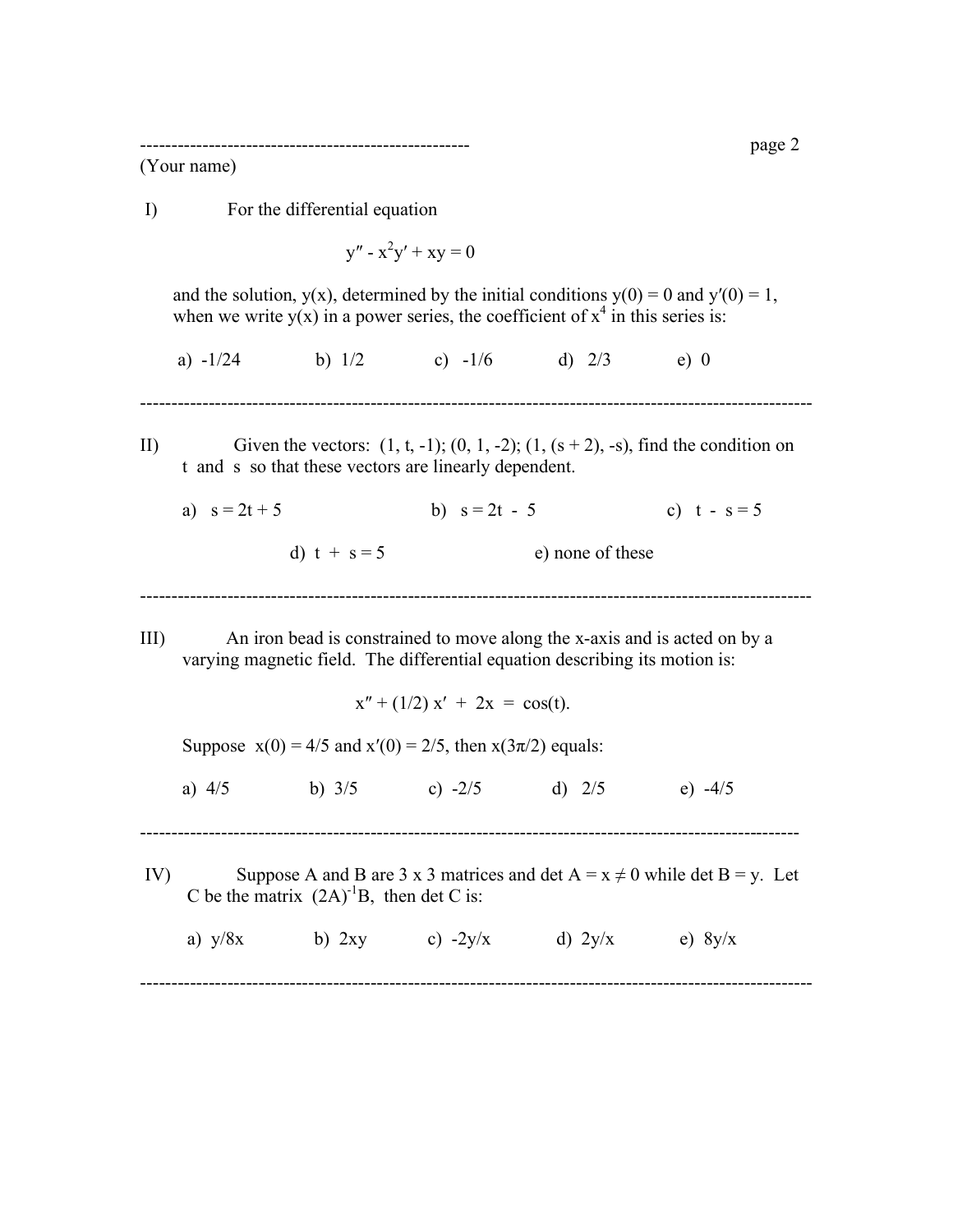----------------------------------------------------- page 2

(Your name)

 I) For the differential equation  $y'' - x^2y' + xy = 0$ and the solution,  $y(x)$ , determined by the initial conditions  $y(0) = 0$  and  $y'(0) = 1$ , when we write  $y(x)$  in a power series, the coefficient of  $x^4$  in this series is: a)  $-1/24$  b)  $1/2$  c)  $-1/6$  d)  $2/3$  e) 0 ------------------------------------------------------------------------------------------------------------ II) Given the vectors:  $(1, t, -1)$ ;  $(0, 1, -2)$ ;  $(1, (s + 2), -s)$ , find the condition on t and s so that these vectors are linearly dependent. a)  $s = 2t + 5$  b)  $s = 2t - 5$  c)  $t - s = 5$ d)  $t + s = 5$  e) none of these ------------------------------------------------------------------------------------------------------------ III) An iron bead is constrained to move along the x-axis and is acted on by a varying magnetic field. The differential equation describing its motion is:  $x'' + (1/2) x' + 2x = cos(t)$ . Suppose  $x(0) = 4/5$  and  $x'(0) = 2/5$ , then  $x(3\pi/2)$  equals: a)  $4/5$  b)  $3/5$  c)  $-2/5$  d)  $2/5$  e)  $-4/5$ ---------------------------------------------------------------------------------------------------------- IV) Suppose A and B are 3 x 3 matrices and det  $A = x \neq 0$  while det B = y. Let C be the matrix  $(2A)^{-1}B$ , then det C is: a)  $y/8x$  b) 2xy c) -2y/x d) 2y/x e)  $8y/x$ ------------------------------------------------------------------------------------------------------------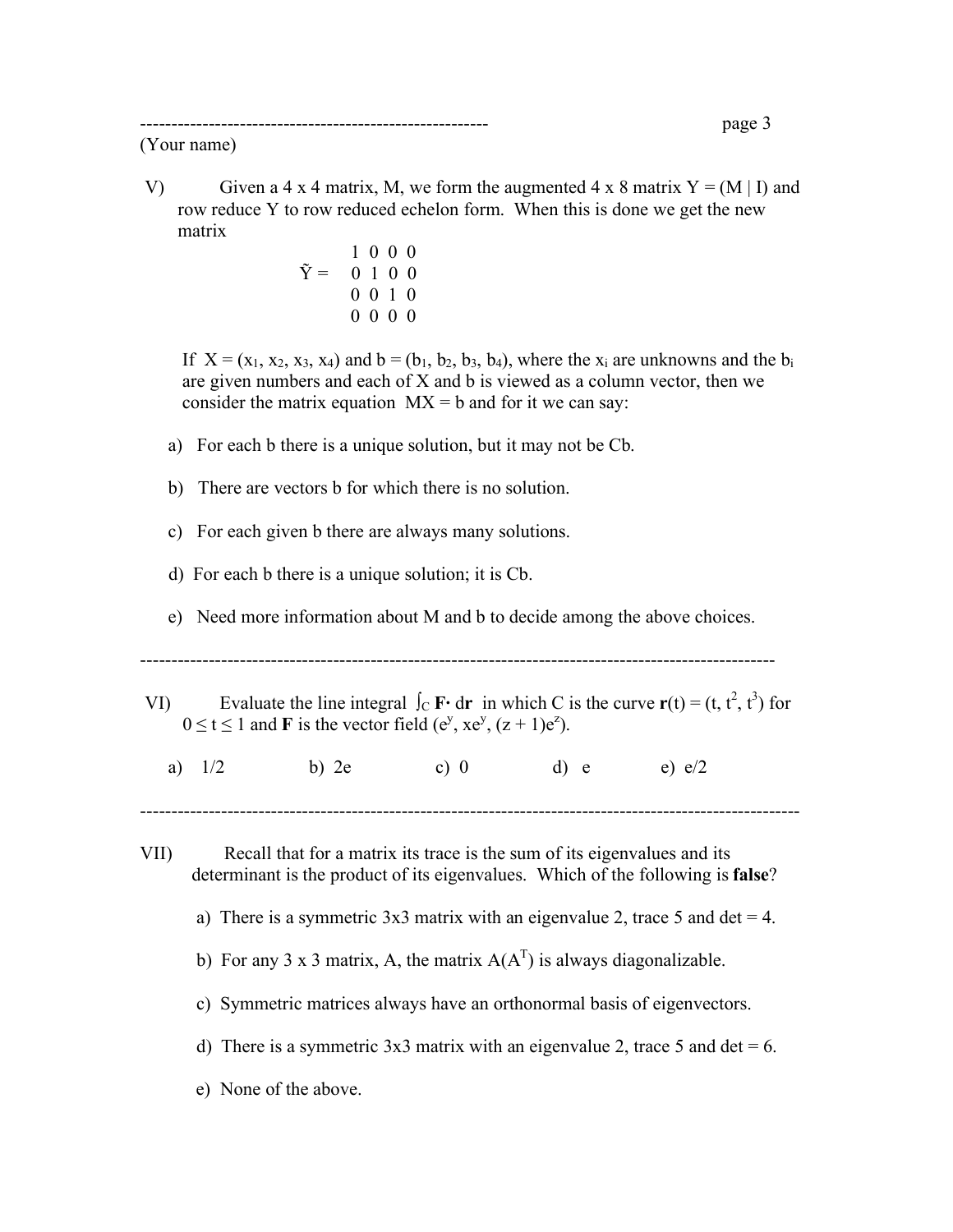(Your name)

- V) Given a 4 x 4 matrix, M, we form the augmented 4 x 8 matrix  $Y = (M | I)$  and row reduce Y to row reduced echelon form. When this is done we get the new matrix
	- 1 0 0 0  $\tilde{Y} = 0 1 0 0$  0 0 1 0 0 0 0 0

If  $X = (x_1, x_2, x_3, x_4)$  and  $b = (b_1, b_2, b_3, b_4)$ , where the  $x_i$  are unknowns and the  $b_i$  are given numbers and each of X and b is viewed as a column vector, then we consider the matrix equation  $MX = b$  and for it we can say:

- a) For each b there is a unique solution, but it may not be Cb.
- b) There are vectors b for which there is no solution.
- c) For each given b there are always many solutions.
- d) For each b there is a unique solution; it is Cb.
- e) Need more information about M and b to decide among the above choices.

------------------------------------------------------------------------------------------------------

- VI) Evaluate the line integral  $\int_C \mathbf{F} \cdot d\mathbf{r}$  in which C is the curve  $\mathbf{r}(t) = (t, t^2, t^3)$  for  $0 \le t \le 1$  and **F** is the vector field (e<sup>y</sup>, xe<sup>y</sup>, (z + 1)e<sup>z</sup>).
	- a)  $1/2$  b) 2e c) 0 d) e e)  $e/2$
- VII) Recall that for a matrix its trace is the sum of its eigenvalues and its determinant is the product of its eigenvalues. Which of the following is **false**?

----------------------------------------------------------------------------------------------------------

- a) There is a symmetric  $3x3$  matrix with an eigenvalue 2, trace 5 and det = 4.
- b) For any 3 x 3 matrix, A, the matrix  $A(A<sup>T</sup>)$  is always diagonalizable.
	- c) Symmetric matrices always have an orthonormal basis of eigenvectors.
	- d) There is a symmetric  $3x3$  matrix with an eigenvalue 2, trace 5 and det = 6.
	- e) None of the above.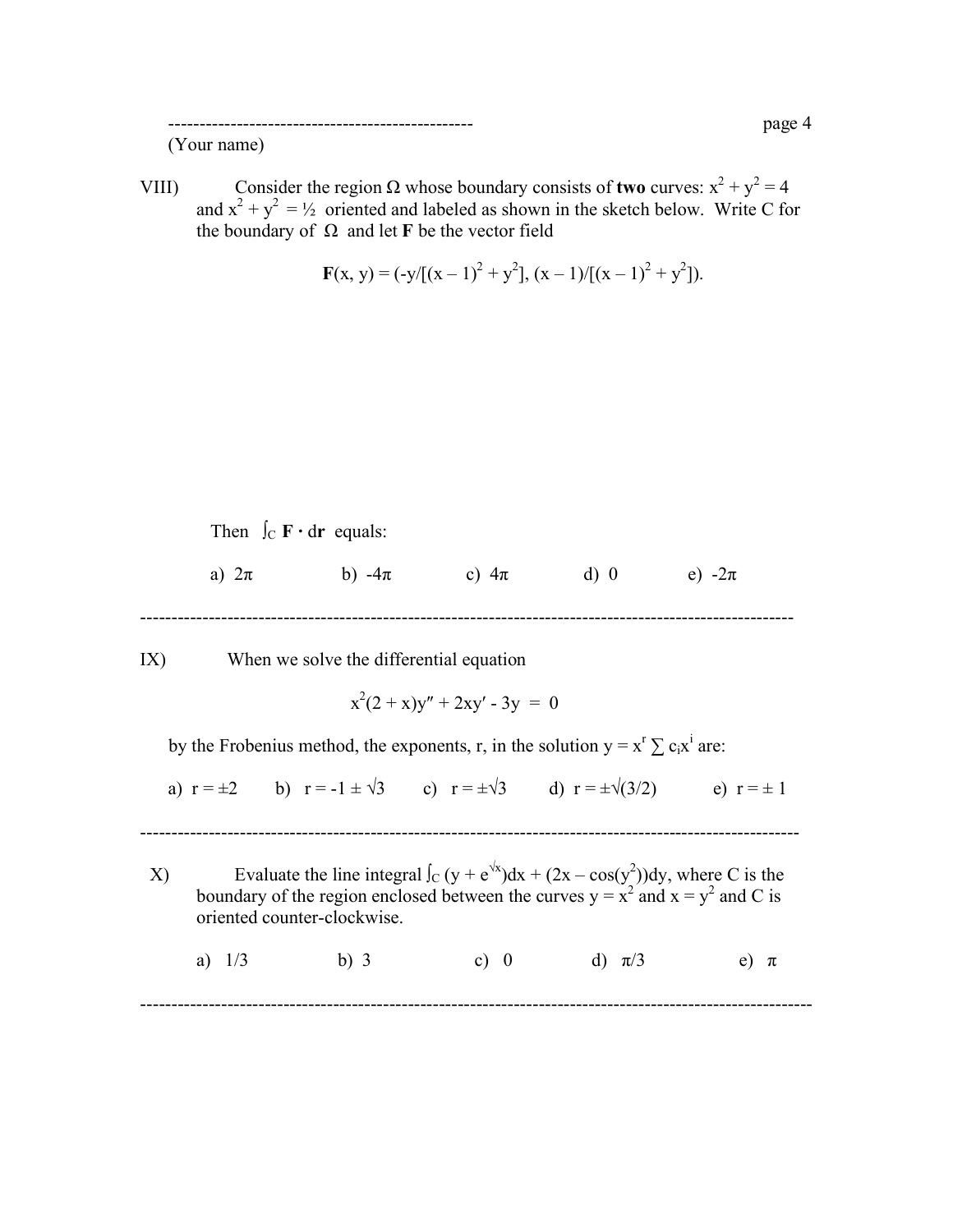VIII) Consider the region Ω whose boundary consists of **two** curves:  $x^2 + y^2 = 4$ and  $x^2 + y^2 = \frac{1}{2}$  oriented and labeled as shown in the sketch below. Write C for the boundary of  $Ω$  and let **F** be the vector field

$$
\mathbf{F}(x, y) = (-y/[(x-1)^2 + y^2], (x-1)/[(x-1)^2 + y^2]).
$$

Then  $\int_C \mathbf{F} \cdot d\mathbf{r}$  equals:

a)  $2\pi$  b)  $-4\pi$  c)  $4\pi$  d) 0 e)  $-2\pi$ 

---------------------------------------------------------------------------------------------------------

IX) When we solve the differential equation

$$
x^2(2+x)y'' + 2xy' - 3y = 0
$$

by the Frobenius method, the exponents, r, in the solution  $y = x^r \sum c_i x^i$  are:

a)  $r = \pm 2$  b)  $r = -1 \pm \sqrt{3}$  c)  $r = \pm \sqrt{3}$  d)  $r = \pm \sqrt{(3/2)}$  e)  $r = \pm 1$ 

----------------------------------------------------------------------------------------------------------

X) Evaluate the line integral  $\int_C (y + e^{y/x}) dx + (2x - cos(y^2)) dy$ , where C is the boundary of the region enclosed between the curves  $y = x^2$  and  $x = y^2$  and C is oriented counter-clockwise. a)  $1/3$  b) 3 c) 0 d)  $\pi/3$  e)  $\pi$ 

------------------------------------------------------------------------------------------------------------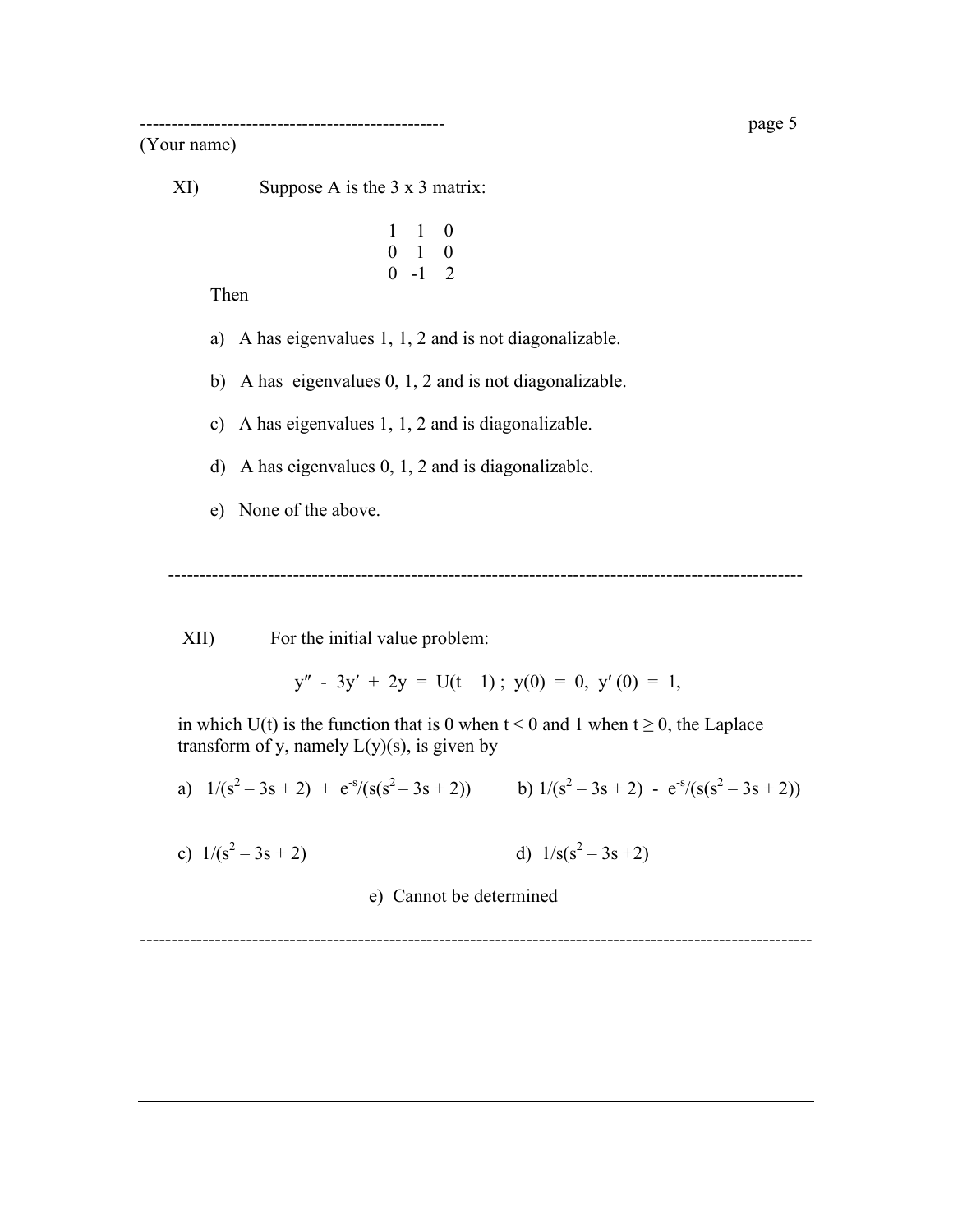## (Your name)

XI) Suppose A is the 3 x 3 matrix:

 1 1 0 0 1 0 0 -1 2

Then

- a) A has eigenvalues 1, 1, 2 and is not diagonalizable.
- b) A has eigenvalues 0, 1, 2 and is not diagonalizable.
- c) A has eigenvalues 1, 1, 2 and is diagonalizable.
- d) A has eigenvalues 0, 1, 2 and is diagonalizable.
- e) None of the above.

------------------------------------------------------------------------------------------------------

XII) For the initial value problem:

$$
y'' - 3y' + 2y = U(t-1); y(0) = 0, y'(0) = 1,
$$

in which U(t) is the function that is 0 when  $t < 0$  and 1 when  $t \ge 0$ , the Laplace transform of y, namely  $L(y)(s)$ , is given by

a) 
$$
1/(s^2 - 3s + 2) + e^{-s}/(s(s^2 - 3s + 2))
$$
 b)  $1/(s^2 - 3s + 2) - e^{-s}/(s(s^2 - 3s + 2))$ 

c)  $1/(s^2-3s+2)$  d)  $1/s(s^2-3s+2)$ 

e) Cannot be determined

------------------------------------------------------------------------------------------------------------